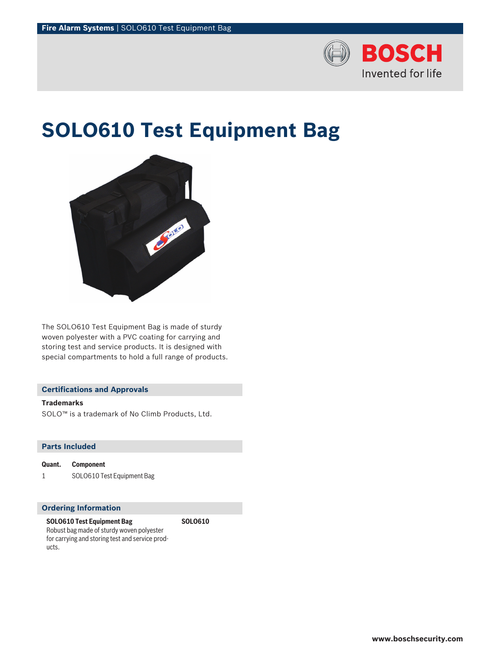

# **SOLO610 Test Equipment Bag**

**SOLO610**



The SOLO610 Test Equipment Bag is made of sturdy woven polyester with a PVC coating for carrying and storing test and service products. It is designed with special compartments to hold a full range of products.

# **Certifications and Approvals**

## **Trademarks**

SOLO™ is a trademark of No Climb Products, Ltd.

## **Parts Included**

**Quant. Component** 1 SOLO610 Test Equipment Bag

## **Ordering Information**

**SOLO610 Test Equipment Bag** Robust bag made of sturdy woven polyester for carrying and storing test and service products.

**www.boschsecurity.com**